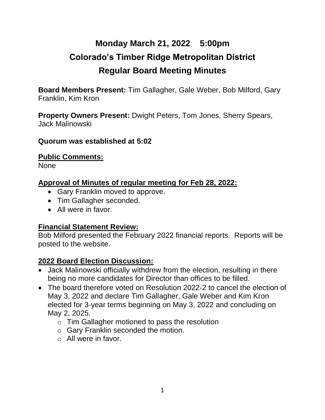# **Monday March 21, 2022 5:00pm Colorado's Timber Ridge Metropolitan District Regular Board Meeting Minutes**

**Board Members Present:** Tim Gallagher, Gale Weber, Bob Milford, Gary Franklin, Kim Kron

**Property Owners Present:** Dwight Peters, Tom Jones, Sherry Spears, Jack Malinowski

#### **Quorum was established at 5:02**

#### **Public Comments:**

None

#### **Approval of Minutes of regular meeting for Feb 28, 2022:**

- Gary Franklin moved to approve.
- Tim Gallagher seconded.
- All were in favor.

#### **Financial Statement Review:**

Bob Milford presented the February 2022 financial reports. Reports will be posted to the website.

#### **2022 Board Election Discussion:**

- Jack Malinowski officially withdrew from the election, resulting in there being no more candidates for Director than offices to be filled.
- The board therefore voted on Resolution 2022-2 to cancel the election of May 3, 2022 and declare Tim Gallagher, Gale Weber and Kim Kron elected for 3-year terms beginning on May 3, 2022 and concluding on May 2, 2025.
	- o Tim Gallagher motioned to pass the resolution
	- o Gary Franklin seconded the motion.
	- $\circ$  All were in favor.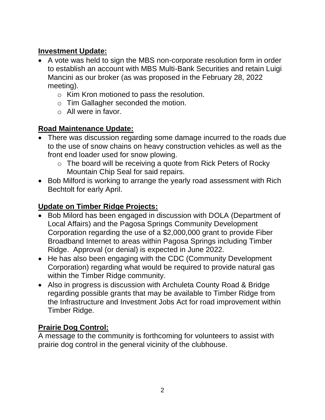# **Investment Update:**

- A vote was held to sign the MBS non-corporate resolution form in order to establish an account with MBS Multi-Bank Securities and retain Luigi Mancini as our broker (as was proposed in the February 28, 2022 meeting).
	- o Kim Kron motioned to pass the resolution.
	- o Tim Gallagher seconded the motion.
	- $\circ$  All were in favor.

# **Road Maintenance Update:**

- There was discussion regarding some damage incurred to the roads due to the use of snow chains on heavy construction vehicles as well as the front end loader used for snow plowing.
	- o The board will be receiving a quote from Rick Peters of Rocky Mountain Chip Seal for said repairs.
- Bob Milford is working to arrange the yearly road assessment with Rich Bechtolt for early April.

# **Update on Timber Ridge Projects:**

- Bob Milord has been engaged in discussion with DOLA (Department of Local Affairs) and the Pagosa Springs Community Development Corporation regarding the use of a \$2,000,000 grant to provide Fiber Broadband Internet to areas within Pagosa Springs including Timber Ridge. Approval (or denial) is expected in June 2022.
- He has also been engaging with the CDC (Community Development Corporation) regarding what would be required to provide natural gas within the Timber Ridge community.
- Also in progress is discussion with Archuleta County Road & Bridge regarding possible grants that may be available to Timber Ridge from the Infrastructure and Investment Jobs Act for road improvement within Timber Ridge.

### **Prairie Dog Control:**

A message to the community is forthcoming for volunteers to assist with prairie dog control in the general vicinity of the clubhouse.